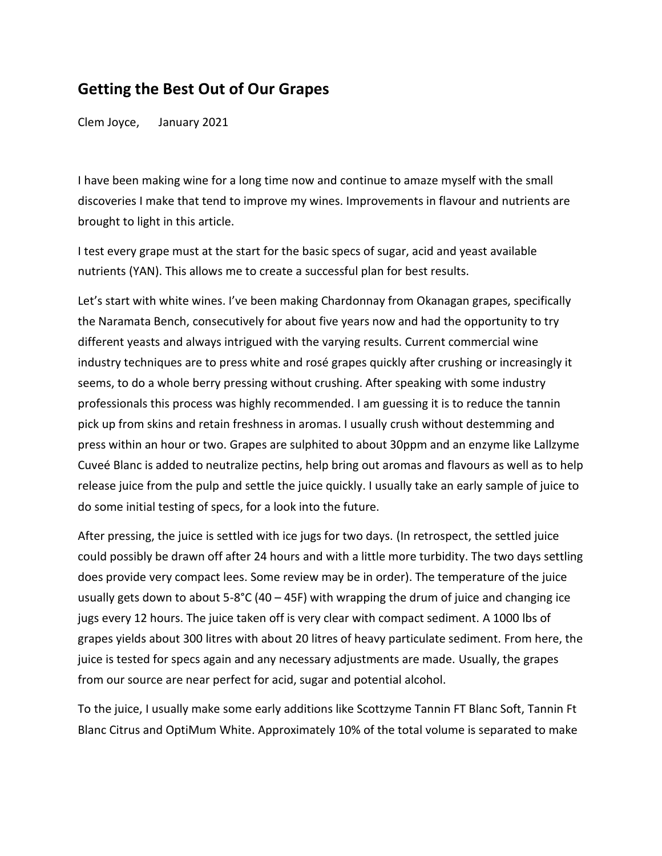## **Getting the Best Out of Our Grapes**

Clem Joyce, January 2021

I have been making wine for a long time now and continue to amaze myself with the small discoveries I make that tend to improve my wines. Improvements in flavour and nutrients are brought to light in this article.

I test every grape must at the start for the basic specs of sugar, acid and yeast available nutrients (YAN). This allows me to create a successful plan for best results.

Let's start with white wines. I've been making Chardonnay from Okanagan grapes, specifically the Naramata Bench, consecutively for about five years now and had the opportunity to try different yeasts and always intrigued with the varying results. Current commercial wine industry techniques are to press white and rosé grapes quickly after crushing or increasingly it seems, to do a whole berry pressing without crushing. After speaking with some industry professionals this process was highly recommended. I am guessing it is to reduce the tannin pick up from skins and retain freshness in aromas. I usually crush without destemming and press within an hour or two. Grapes are sulphited to about 30ppm and an enzyme like Lallzyme Cuveé Blanc is added to neutralize pectins, help bring out aromas and flavours as well as to help release juice from the pulp and settle the juice quickly. I usually take an early sample of juice to do some initial testing of specs, for a look into the future.

After pressing, the juice is settled with ice jugs for two days. (In retrospect, the settled juice could possibly be drawn off after 24 hours and with a little more turbidity. The two days settling does provide very compact lees. Some review may be in order). The temperature of the juice usually gets down to about 5-8°C (40 – 45F) with wrapping the drum of juice and changing ice jugs every 12 hours. The juice taken off is very clear with compact sediment. A 1000 lbs of grapes yields about 300 litres with about 20 litres of heavy particulate sediment. From here, the juice is tested for specs again and any necessary adjustments are made. Usually, the grapes from our source are near perfect for acid, sugar and potential alcohol.

To the juice, I usually make some early additions like Scottzyme Tannin FT Blanc Soft, Tannin Ft Blanc Citrus and OptiMum White. Approximately 10% of the total volume is separated to make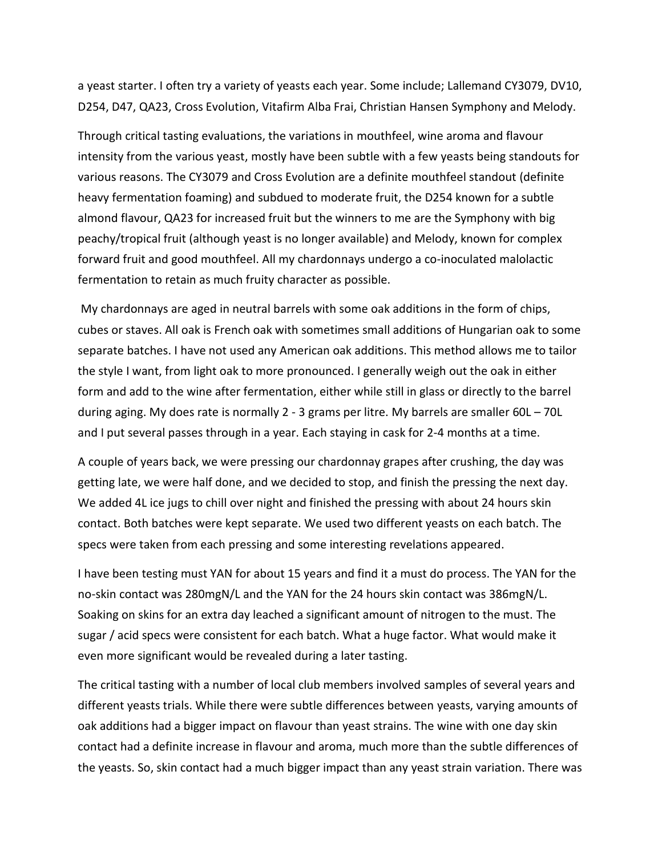a yeast starter. I often try a variety of yeasts each year. Some include; Lallemand CY3079, DV10, D254, D47, QA23, Cross Evolution, Vitafirm Alba Frai, Christian Hansen Symphony and Melody.

Through critical tasting evaluations, the variations in mouthfeel, wine aroma and flavour intensity from the various yeast, mostly have been subtle with a few yeasts being standouts for various reasons. The CY3079 and Cross Evolution are a definite mouthfeel standout (definite heavy fermentation foaming) and subdued to moderate fruit, the D254 known for a subtle almond flavour, QA23 for increased fruit but the winners to me are the Symphony with big peachy/tropical fruit (although yeast is no longer available) and Melody, known for complex forward fruit and good mouthfeel. All my chardonnays undergo a co-inoculated malolactic fermentation to retain as much fruity character as possible.

My chardonnays are aged in neutral barrels with some oak additions in the form of chips, cubes or staves. All oak is French oak with sometimes small additions of Hungarian oak to some separate batches. I have not used any American oak additions. This method allows me to tailor the style I want, from light oak to more pronounced. I generally weigh out the oak in either form and add to the wine after fermentation, either while still in glass or directly to the barrel during aging. My does rate is normally 2 - 3 grams per litre. My barrels are smaller 60L – 70L and I put several passes through in a year. Each staying in cask for 2-4 months at a time.

A couple of years back, we were pressing our chardonnay grapes after crushing, the day was getting late, we were half done, and we decided to stop, and finish the pressing the next day. We added 4L ice jugs to chill over night and finished the pressing with about 24 hours skin contact. Both batches were kept separate. We used two different yeasts on each batch. The specs were taken from each pressing and some interesting revelations appeared.

I have been testing must YAN for about 15 years and find it a must do process. The YAN for the no-skin contact was 280mgN/L and the YAN for the 24 hours skin contact was 386mgN/L. Soaking on skins for an extra day leached a significant amount of nitrogen to the must. The sugar / acid specs were consistent for each batch. What a huge factor. What would make it even more significant would be revealed during a later tasting.

The critical tasting with a number of local club members involved samples of several years and different yeasts trials. While there were subtle differences between yeasts, varying amounts of oak additions had a bigger impact on flavour than yeast strains. The wine with one day skin contact had a definite increase in flavour and aroma, much more than the subtle differences of the yeasts. So, skin contact had a much bigger impact than any yeast strain variation. There was